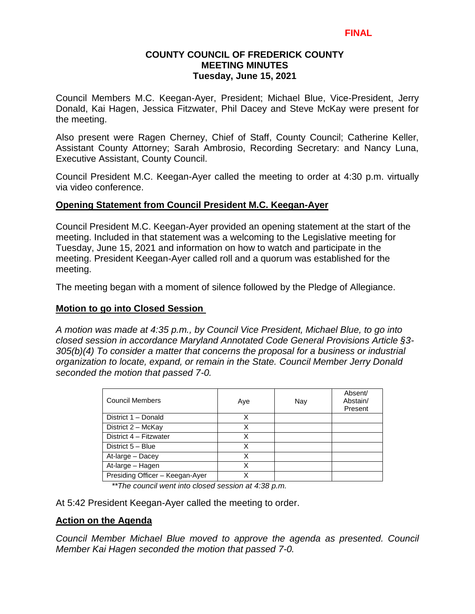# **COUNTY COUNCIL OF FREDERICK COUNTY MEETING MINUTES Tuesday, June 15, 2021**

Council Members M.C. Keegan-Ayer, President; Michael Blue, Vice-President, Jerry Donald, Kai Hagen, Jessica Fitzwater, Phil Dacey and Steve McKay were present for the meeting.

Also present were Ragen Cherney, Chief of Staff, County Council; Catherine Keller, Assistant County Attorney; Sarah Ambrosio, Recording Secretary: and Nancy Luna, Executive Assistant, County Council.

Council President M.C. Keegan-Ayer called the meeting to order at 4:30 p.m. virtually via video conference.

### **Opening Statement from Council President M.C. Keegan-Ayer**

Council President M.C. Keegan-Ayer provided an opening statement at the start of the meeting. Included in that statement was a welcoming to the Legislative meeting for Tuesday, June 15, 2021 and information on how to watch and participate in the meeting. President Keegan-Ayer called roll and a quorum was established for the meeting.

The meeting began with a moment of silence followed by the Pledge of Allegiance.

## **Motion to go into Closed Session**

*A motion was made at 4:35 p.m., by Council Vice President, Michael Blue, to go into closed session in accordance Maryland Annotated Code General Provisions Article §3- 305(b)(4) To consider a matter that concerns the proposal for a business or industrial organization to locate, expand, or remain in the State. Council Member Jerry Donald seconded the motion that passed 7-0.* 

| <b>Council Members</b>          | Aye | Nay | Absent/<br>Abstain/<br>Present |
|---------------------------------|-----|-----|--------------------------------|
| District 1 - Donald             | Χ   |     |                                |
| District 2 - McKay              | x   |     |                                |
| District 4 - Fitzwater          | Χ   |     |                                |
| District 5 - Blue               | Χ   |     |                                |
| At-large - Dacey                | Χ   |     |                                |
| At-large - Hagen                |     |     |                                |
| Presiding Officer - Keegan-Ayer | ¥   |     |                                |

*\*\*The council went into closed session at 4:38 p.m.*

At 5:42 President Keegan-Ayer called the meeting to order.

# **Action on the Agenda**

*Council Member Michael Blue moved to approve the agenda as presented. Council Member Kai Hagen seconded the motion that passed 7-0.*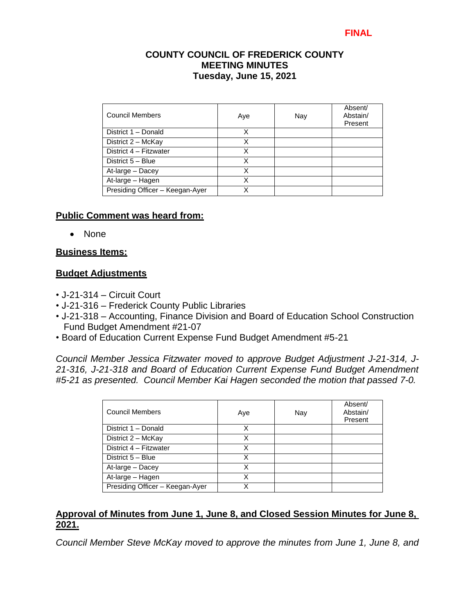# **COUNTY COUNCIL OF FREDERICK COUNTY MEETING MINUTES Tuesday, June 15, 2021**

| Council Members                 | Aye | Nay | Absent/<br>Abstain/<br>Present |
|---------------------------------|-----|-----|--------------------------------|
| District 1 - Donald             | Χ   |     |                                |
| District 2 - McKay              | Χ   |     |                                |
| District 4 - Fitzwater          | X   |     |                                |
| District 5 - Blue               | Χ   |     |                                |
| At-large - Dacey                | Χ   |     |                                |
| At-large - Hagen                | x   |     |                                |
| Presiding Officer - Keegan-Ayer | x   |     |                                |

### **Public Comment was heard from:**

• None

### **Business Items:**

### **Budget Adjustments**

- J-21-314 Circuit Court
- J-21-316 Frederick County Public Libraries
- J-21-318 Accounting, Finance Division and Board of Education School Construction Fund Budget Amendment #21-07
- Board of Education Current Expense Fund Budget Amendment #5-21

*Council Member Jessica Fitzwater moved to approve Budget Adjustment J-21-314, J-21-316, J-21-318 and Board of Education Current Expense Fund Budget Amendment #5-21 as presented. Council Member Kai Hagen seconded the motion that passed 7-0.*

| <b>Council Members</b>          | Aye | Nay | Absent/<br>Abstain/<br>Present |
|---------------------------------|-----|-----|--------------------------------|
| District 1 - Donald             | Χ   |     |                                |
| District 2 - McKay              | Χ   |     |                                |
| District 4 - Fitzwater          | X   |     |                                |
| District 5 - Blue               | X   |     |                                |
| At-large - Dacey                | Χ   |     |                                |
| At-large - Hagen                | Χ   |     |                                |
| Presiding Officer - Keegan-Ayer |     |     |                                |

# **Approval of Minutes from June 1, June 8, and Closed Session Minutes for June 8, 2021.**

*Council Member Steve McKay moved to approve the minutes from June 1, June 8, and*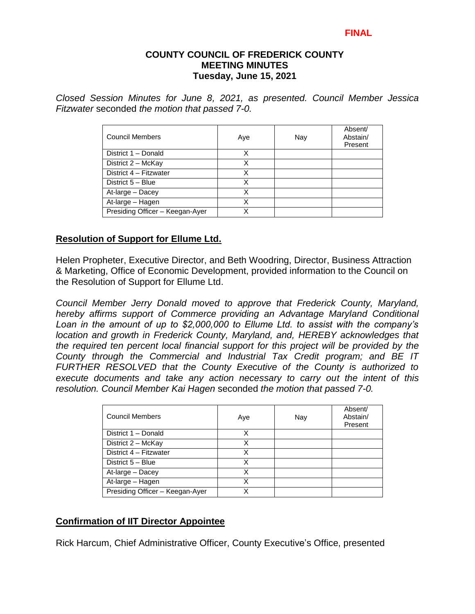### **COUNTY COUNCIL OF FREDERICK COUNTY MEETING MINUTES Tuesday, June 15, 2021**

*Closed Session Minutes for June 8, 2021, as presented. Council Member Jessica Fitzwater* seconded *the motion that passed 7-0.* 

| Council Members                 | Aye | Nay | Absent/<br>Abstain/<br>Present |
|---------------------------------|-----|-----|--------------------------------|
| District 1 - Donald             | x   |     |                                |
| District 2 - McKay              | Χ   |     |                                |
| District 4 - Fitzwater          | Χ   |     |                                |
| District 5 - Blue               | X   |     |                                |
| At-large - Dacey                |     |     |                                |
| At-large - Hagen                | Χ   |     |                                |
| Presiding Officer - Keegan-Ayer |     |     |                                |

### **Resolution of Support for Ellume Ltd.**

Helen Propheter, Executive Director, and Beth Woodring, Director, Business Attraction & Marketing, Office of Economic Development, provided information to the Council on the Resolution of Support for Ellume Ltd.

*Council Member Jerry Donald moved to approve that Frederick County, Maryland, hereby affirms support of Commerce providing an Advantage Maryland Conditional Loan in the amount of up to \$2,000,000 to Ellume Ltd. to assist with the company's location and growth in Frederick County, Maryland, and, HEREBY acknowledges that the required ten percent local financial support for this project will be provided by the County through the Commercial and Industrial Tax Credit program; and BE IT FURTHER RESOLVED that the County Executive of the County is authorized to execute documents and take any action necessary to carry out the intent of this resolution. Council Member Kai Hagen* seconded *the motion that passed 7-0.* 

| <b>Council Members</b>          | Aye | Nay | Absent/<br>Abstain/<br>Present |
|---------------------------------|-----|-----|--------------------------------|
| District 1 - Donald             | х   |     |                                |
| District 2 - McKay              | X   |     |                                |
| District 4 - Fitzwater          | Χ   |     |                                |
| District 5 - Blue               | x   |     |                                |
| At-large - Dacey                | Χ   |     |                                |
| At-large - Hagen                | Χ   |     |                                |
| Presiding Officer - Keegan-Ayer | x   |     |                                |

# **Confirmation of IIT Director Appointee**

Rick Harcum, Chief Administrative Officer, County Executive's Office, presented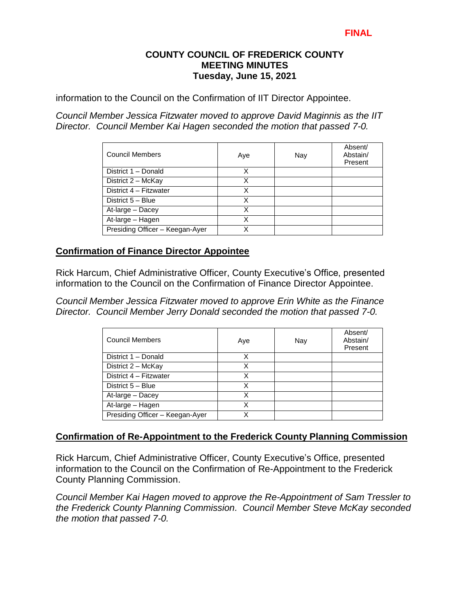## **COUNTY COUNCIL OF FREDERICK COUNTY MEETING MINUTES Tuesday, June 15, 2021**

information to the Council on the Confirmation of IIT Director Appointee.

*Council Member Jessica Fitzwater moved to approve David Maginnis as the IIT Director. Council Member Kai Hagen seconded the motion that passed 7-0.* 

| <b>Council Members</b>          | Aye | Nay | Absent/<br>Abstain/<br>Present |
|---------------------------------|-----|-----|--------------------------------|
| District 1 - Donald             | x   |     |                                |
| District 2 - McKay              | x   |     |                                |
| District 4 - Fitzwater          | X   |     |                                |
| District 5 - Blue               | Χ   |     |                                |
| At-large - Dacey                | Χ   |     |                                |
| At-large - Hagen                | X   |     |                                |
| Presiding Officer - Keegan-Ayer |     |     |                                |

### **Confirmation of Finance Director Appointee**

Rick Harcum, Chief Administrative Officer, County Executive's Office, presented information to the Council on the Confirmation of Finance Director Appointee.

*Council Member Jessica Fitzwater moved to approve Erin White as the Finance Director. Council Member Jerry Donald seconded the motion that passed 7-0.* 

| <b>Council Members</b>          | Aye | Nay | Absent/<br>Abstain/<br>Present |
|---------------------------------|-----|-----|--------------------------------|
| District 1 - Donald             | x   |     |                                |
| District 2 - McKay              | X   |     |                                |
| District 4 - Fitzwater          | Χ   |     |                                |
| District 5 - Blue               | Χ   |     |                                |
| At-large - Dacey                | Χ   |     |                                |
| At-large - Hagen                | X   |     |                                |
| Presiding Officer - Keegan-Ayer |     |     |                                |

#### **Confirmation of Re-Appointment to the Frederick County Planning Commission**

Rick Harcum, Chief Administrative Officer, County Executive's Office, presented information to the Council on the Confirmation of Re-Appointment to the Frederick County Planning Commission.

*Council Member Kai Hagen moved to approve the Re-Appointment of Sam Tressler to the Frederick County Planning Commission. Council Member Steve McKay seconded the motion that passed 7-0.*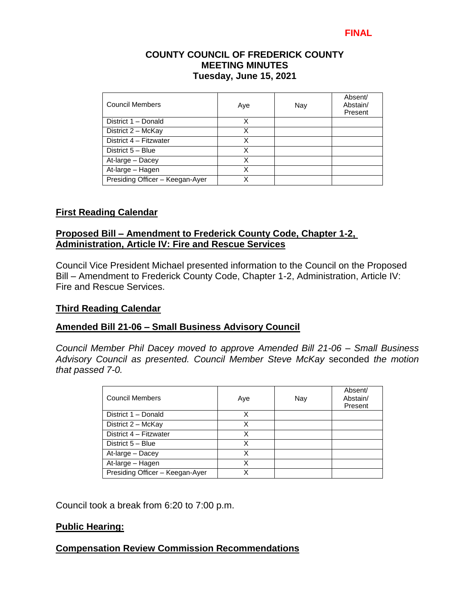## **COUNTY COUNCIL OF FREDERICK COUNTY MEETING MINUTES Tuesday, June 15, 2021**

| Council Members                 | Aye | Nay | Absent/<br>Abstain/<br>Present |
|---------------------------------|-----|-----|--------------------------------|
| District 1 - Donald             | X   |     |                                |
| District 2 - McKay              | x   |     |                                |
| District 4 - Fitzwater          | Χ   |     |                                |
| District 5 - Blue               | x   |     |                                |
| At-large - Dacey                | Χ   |     |                                |
| At-large - Hagen                | Χ   |     |                                |
| Presiding Officer - Keegan-Ayer | Χ   |     |                                |

# **First Reading Calendar**

# **Proposed Bill – Amendment to Frederick County Code, Chapter 1-2, Administration, Article IV: Fire and Rescue Services**

Council Vice President Michael presented information to the Council on the Proposed Bill – Amendment to Frederick County Code, Chapter 1-2, Administration, Article IV: Fire and Rescue Services.

#### **Third Reading Calendar**

# **Amended Bill 21-06 – Small Business Advisory Council**

*Council Member Phil Dacey moved to approve Amended Bill 21-06 – Small Business Advisory Council as presented. Council Member Steve McKay* seconded *the motion that passed 7-0.*

| <b>Council Members</b>          | Aye | Nay | Absent/<br>Abstain/<br>Present |
|---------------------------------|-----|-----|--------------------------------|
| District 1 - Donald             | x   |     |                                |
| District 2 - McKay              | Χ   |     |                                |
| District 4 - Fitzwater          | Χ   |     |                                |
| District 5 - Blue               | X   |     |                                |
| At-large - Dacey                | X   |     |                                |
| At-large - Hagen                | Χ   |     |                                |
| Presiding Officer - Keegan-Ayer | X   |     |                                |

Council took a break from 6:20 to 7:00 p.m.

# **Public Hearing:**

# **Compensation Review Commission Recommendations**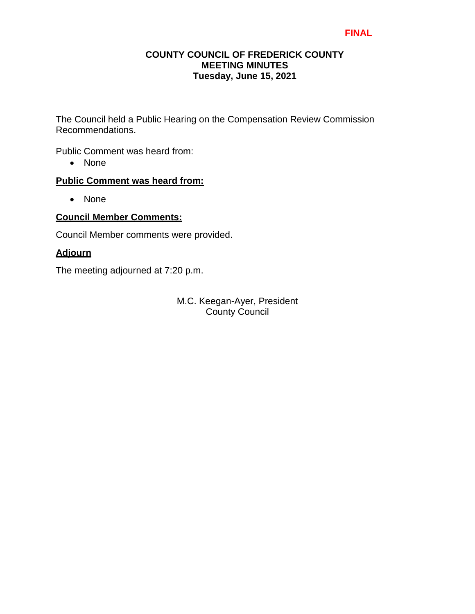## **COUNTY COUNCIL OF FREDERICK COUNTY MEETING MINUTES Tuesday, June 15, 2021**

The Council held a Public Hearing on the Compensation Review Commission Recommendations.

Public Comment was heard from:

• None

# **Public Comment was heard from:**

• None

# **Council Member Comments:**

Council Member comments were provided.

# **Adjourn**

The meeting adjourned at 7:20 p.m.

M.C. Keegan-Ayer, President County Council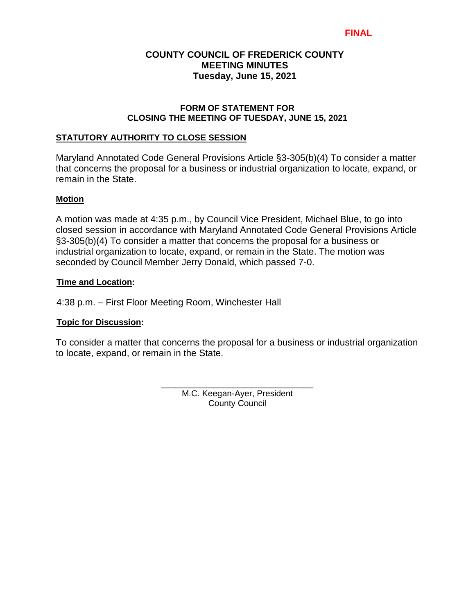# **COUNTY COUNCIL OF FREDERICK COUNTY MEETING MINUTES Tuesday, June 15, 2021**

#### **FORM OF STATEMENT FOR CLOSING THE MEETING OF TUESDAY, JUNE 15, 2021**

#### **STATUTORY AUTHORITY TO CLOSE SESSION**

Maryland Annotated Code General Provisions Article §3-305(b)(4) To consider a matter that concerns the proposal for a business or industrial organization to locate, expand, or remain in the State.

#### **Motion**

A motion was made at 4:35 p.m., by Council Vice President, Michael Blue, to go into closed session in accordance with Maryland Annotated Code General Provisions Article §3-305(b)(4) To consider a matter that concerns the proposal for a business or industrial organization to locate, expand, or remain in the State. The motion was seconded by Council Member Jerry Donald, which passed 7-0.

#### **Time and Location:**

4:38 p.m. – First Floor Meeting Room, Winchester Hall

#### **Topic for Discussion:**

To consider a matter that concerns the proposal for a business or industrial organization to locate, expand, or remain in the State.

> \_\_\_\_\_\_\_\_\_\_\_\_\_\_\_\_\_\_\_\_\_\_\_\_\_\_\_\_\_\_\_\_ M.C. Keegan-Ayer, President County Council